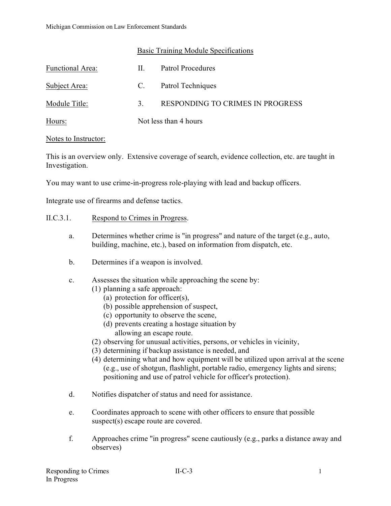| Basic Training Module Specifications |
|--------------------------------------|
|--------------------------------------|

| Functional Area: | Н.                    | Patrol Procedures                |
|------------------|-----------------------|----------------------------------|
| Subject Area:    | C.                    | Patrol Techniques                |
| Module Title:    | 3 <sub>1</sub>        | RESPONDING TO CRIMES IN PROGRESS |
| Hours:           | Not less than 4 hours |                                  |

#### Notes to Instructor:

This is an overview only. Extensive coverage of search, evidence collection, etc. are taught in Investigation.

You may want to use crime-in-progress role-playing with lead and backup officers.

Integrate use of firearms and defense tactics.

## II.C.3.1. Respond to Crimes in Progress.

- a. Determines whether crime is "in progress" and nature of the target (e.g., auto, building, machine, etc.), based on information from dispatch, etc.
- b. Determines if a weapon is involved.
- c. Assesses the situation while approaching the scene by:
	- (1) planning a safe approach:
		- (a) protection for officer(s),
		- (b) possible apprehension of suspect,
		- (c) opportunity to observe the scene,
		- (d) prevents creating a hostage situation by allowing an escape route.
	- (2) observing for unusual activities, persons, or vehicles in vicinity,
	- (3) determining if backup assistance is needed, and
	- (4) determining what and how equipment will be utilized upon arrival at the scene (e.g., use of shotgun, flashlight, portable radio, emergency lights and sirens; positioning and use of patrol vehicle for officer's protection).
- d. Notifies dispatcher of status and need for assistance.
- e. Coordinates approach to scene with other officers to ensure that possible suspect(s) escape route are covered.
- f. Approaches crime "in progress" scene cautiously (e.g., parks a distance away and observes)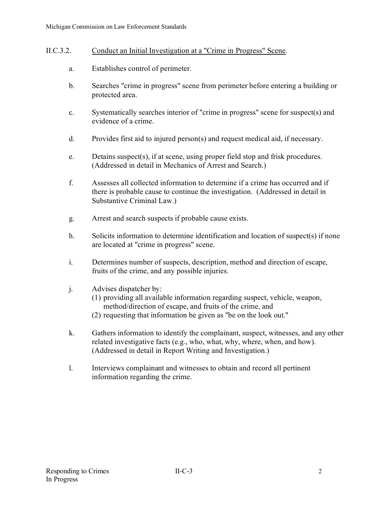## II.C.3.2. Conduct an Initial Investigation at a "Crime in Progress" Scene.

- a. Establishes control of perimeter.
- b. Searches "crime in progress" scene from perimeter before entering a building or protected area.
- c. Systematically searches interior of "crime in progress" scene for suspect(s) and evidence of a crime.
- d. Provides first aid to injured person(s) and request medical aid, if necessary.
- e. Detains suspect(s), if at scene, using proper field stop and frisk procedures. (Addressed in detail in Mechanics of Arrest and Search.)
- f. Assesses all collected information to determine if a crime has occurred and if there is probable cause to continue the investigation. (Addressed in detail in Substantive Criminal Law.)
- g. Arrest and search suspects if probable cause exists.
- h. Solicits information to determine identification and location of suspect(s) if none are located at "crime in progress" scene.
- i. Determines number of suspects, description, method and direction of escape, fruits of the crime, and any possible injuries.
- j. Advises dispatcher by:
	- (1) providing all available information regarding suspect, vehicle, weapon, method/direction of escape, and fruits of the crime, and
	- (2) requesting that information be given as "be on the look out."
- k. Gathers information to identify the complainant, suspect, witnesses, and any other related investigative facts (e.g., who, what, why, where, when, and how). (Addressed in detail in Report Writing and Investigation.)
- l. Interviews complainant and witnesses to obtain and record all pertinent information regarding the crime.